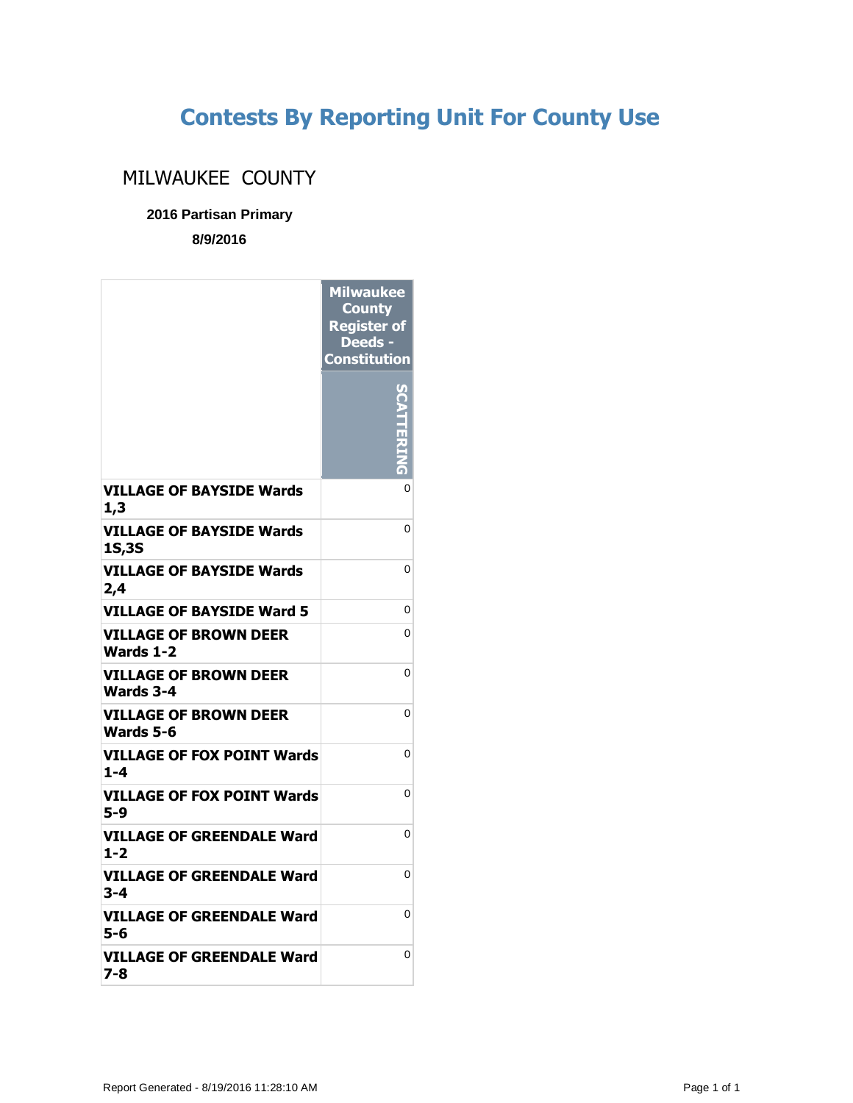## **Contests By Reporting Unit For County Use**

## MILWAUKEE COUNTY

## **2016 Partisan Primary**

**8/9/2016**

|                                                 | <b>Milwaukee</b><br><b>County</b><br><b>Register of</b><br>Deeds -<br><b>Constitution</b> |
|-------------------------------------------------|-------------------------------------------------------------------------------------------|
|                                                 |                                                                                           |
| <b>VILLAGE OF BAYSIDE Wards</b><br>1,3          | 0                                                                                         |
| <b>VILLAGE OF BAYSIDE Wards</b><br><b>1S,3S</b> | 0                                                                                         |
| <b>VILLAGE OF BAYSIDE Wards</b><br>2,4          | 0                                                                                         |
| <b>VILLAGE OF BAYSIDE Ward 5</b>                | 0                                                                                         |
| <b>VILLAGE OF BROWN DEER</b><br>Wards 1-2       | 0                                                                                         |
| <b>VILLAGE OF BROWN DEER</b><br>Wards 3-4       | 0                                                                                         |
| VILLAGE OF BROWN DEER<br>Wards 5-6              | 0                                                                                         |
| <b>VILLAGE OF FOX POINT Wards</b><br>$1 - 4$    | 0                                                                                         |
| VILLAGE OF FOX POINT Wards<br>5-9               | 0                                                                                         |
| VILLAGE OF GREENDALE Ward<br>$1 - 2$            | 0                                                                                         |
| VILLAGE OF GREENDALE Ward<br>3-4                | 0                                                                                         |
| VILLAGE OF GREENDALE Ward<br>5-6                | 0                                                                                         |
| VILLAGE OF GREENDALE Ward<br>7-8                | 0                                                                                         |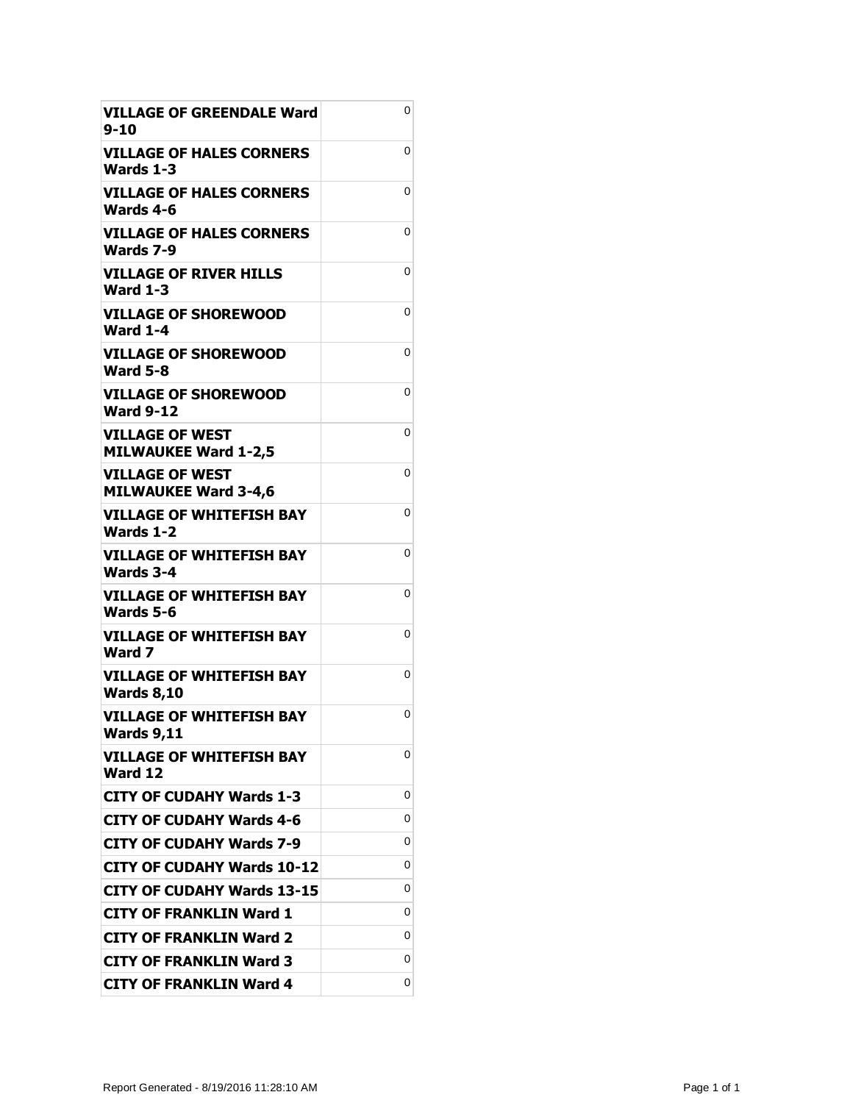| <b>VILLAGE OF GREENDALE Ward</b><br>$9 - 10$          | 0 |
|-------------------------------------------------------|---|
| <b>VILLAGE OF HALES CORNERS</b><br>Wards 1-3          | 0 |
| <b>VILLAGE OF HALES CORNERS</b><br>Wards 4-6          | 0 |
| <b>VILLAGE OF HALES CORNERS</b><br>Wards 7-9          | 0 |
| <b>VILLAGE OF RIVER HILLS</b><br><b>Ward 1-3</b>      | 0 |
| <b>VILLAGE OF SHOREWOOD</b><br><b>Ward 1-4</b>        | 0 |
| VILLAGE OF SHOREWOOD<br><b>Ward 5-8</b>               | 0 |
| <b>VILLAGE OF SHOREWOOD</b><br><b>Ward 9-12</b>       | 0 |
| <b>VILLAGE OF WEST</b><br><b>MILWAUKEE Ward 1-2,5</b> | 0 |
| <b>VILLAGE OF WEST</b><br><b>MILWAUKEE Ward 3-4,6</b> | 0 |
| <b>VILLAGE OF WHITEFISH BAY</b><br>Wards 1-2          | 0 |
| <b>VILLAGE OF WHITEFISH BAY</b><br><b>Wards 3-4</b>   | 0 |
| VILLAGE OF WHITEFISH BAY<br>Wards 5-6                 | 0 |
| VILLAGE OF WHITEFISH BAY<br>Ward 7                    | 0 |
| <b>VILLAGE OF WHITEFISH BAY</b><br><b>Wards 8,10</b>  | 0 |
| <b>VILLAGE OF WHITEFISH BAY</b><br><b>Wards 9,11</b>  | 0 |
| <b>VILLAGE OF WHITEFISH BAY</b><br>Ward 12            | 0 |
| <b>CITY OF CUDAHY Wards 1-3</b>                       | 0 |
| <b>CITY OF CUDAHY Wards 4-6</b>                       | 0 |
| <b>CITY OF CUDAHY Wards 7-9</b>                       | 0 |
| <b>CITY OF CUDAHY Wards 10-12</b>                     | 0 |
| <b>CITY OF CUDAHY Wards 13-15</b>                     | 0 |
| <b>CITY OF FRANKLIN Ward 1</b>                        | 0 |
| <b>CITY OF FRANKLIN Ward 2</b>                        | 0 |
| <b>CITY OF FRANKLIN Ward 3</b>                        | 0 |
| <b>CITY OF FRANKLIN Ward 4</b>                        | 0 |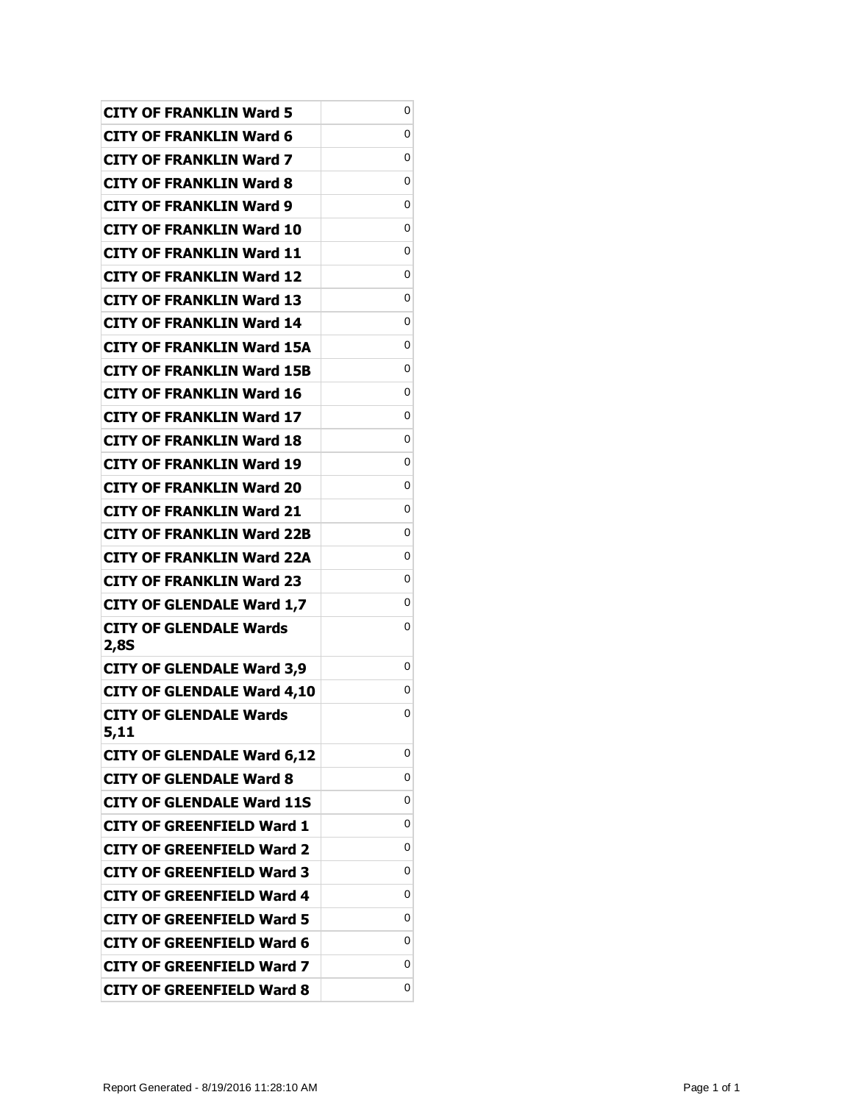| <b>CITY OF FRANKLIN Ward 5</b>        | 0 |
|---------------------------------------|---|
| CITY OF FRANKLIN Ward 6               | 0 |
| CITY OF FRANKLIN Ward 7               | 0 |
| <b>CITY OF FRANKLIN Ward 8</b>        | 0 |
| <b>CITY OF FRANKLIN Ward 9</b>        | 0 |
| CITY OF FRANKLIN Ward 10              | 0 |
| CITY OF FRANKLIN Ward 11              | 0 |
| CITY OF FRANKLIN Ward 12              | 0 |
| <b>CITY OF FRANKLIN Ward 13</b>       | 0 |
| CITY OF FRANKLIN Ward 14              | 0 |
| CITY OF FRANKLIN Ward 15A             | 0 |
| <b>CITY OF FRANKLIN Ward 15B</b>      | 0 |
| CITY OF FRANKLIN Ward 16              | 0 |
| <b>CITY OF FRANKLIN Ward 17</b>       | 0 |
| CITY OF FRANKLIN Ward 18              | 0 |
| CITY OF FRANKLIN Ward 19              | 0 |
| <b>CITY OF FRANKLIN Ward 20</b>       | 0 |
| CITY OF FRANKLIN Ward 21              | 0 |
| <b>CITY OF FRANKLIN Ward 22B</b>      | 0 |
| CITY OF FRANKLIN Ward 22A             | 0 |
| <b>CITY OF FRANKLIN Ward 23</b>       | 0 |
| <b>CITY OF GLENDALE Ward 1,7</b>      | 0 |
| CITY OF GLENDALE Wards                | 0 |
| 2,8S                                  | 0 |
| <b>CITY OF GLENDALE Ward 3,9</b>      | 0 |
| <b>CITY OF GLENDALE Ward 4,10</b>     | 0 |
| <b>CITY OF GLENDALE Wards</b><br>5,11 |   |
| <b>CITY OF GLENDALE Ward 6,12</b>     | 0 |
| <b>CITY OF GLENDALE Ward 8</b>        | 0 |
| <b>CITY OF GLENDALE Ward 11S</b>      | 0 |
| <b>CITY OF GREENFIELD Ward 1</b>      | 0 |
| <b>CITY OF GREENFIELD Ward 2</b>      | 0 |
| <b>CITY OF GREENFIELD Ward 3</b>      | 0 |
| <b>CITY OF GREENFIELD Ward 4</b>      | 0 |
| <b>CITY OF GREENFIELD Ward 5</b>      | 0 |
| <b>CITY OF GREENFIELD Ward 6</b>      | 0 |
| <b>CITY OF GREENFIELD Ward 7</b>      | 0 |
| <b>CITY OF GREENFIELD Ward 8</b>      | 0 |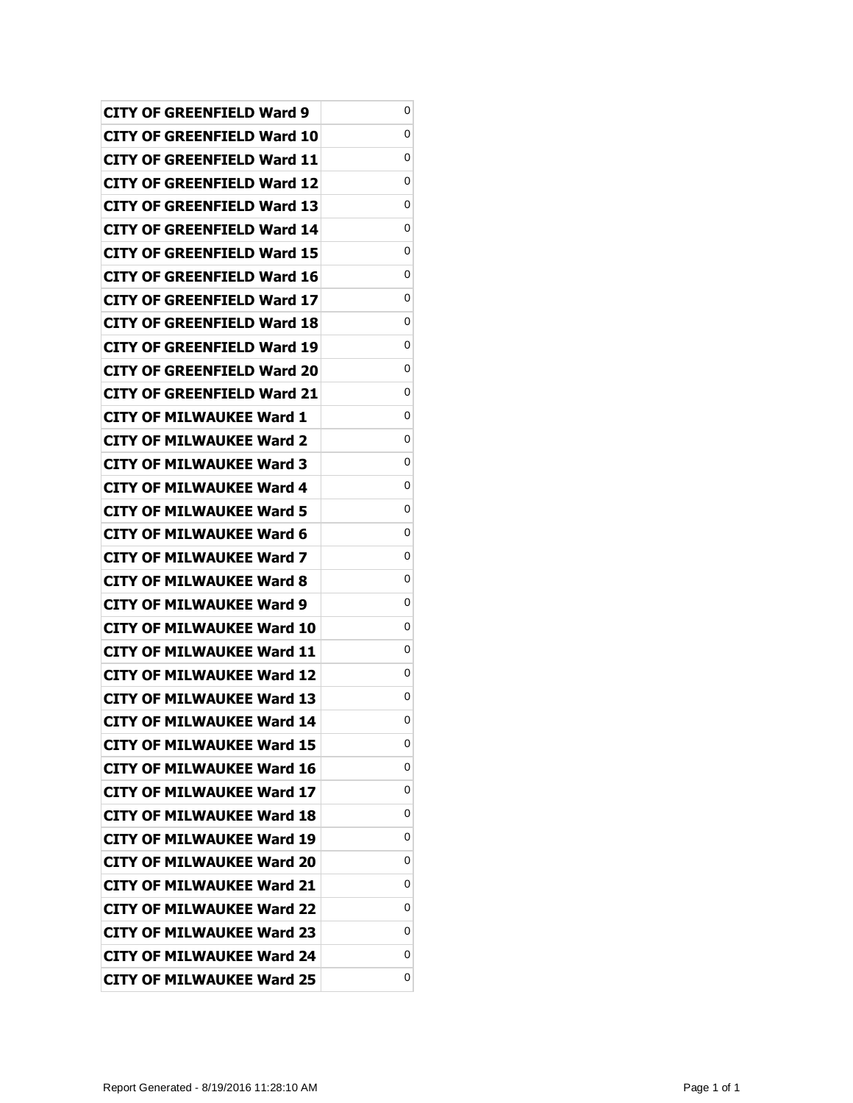| CITY OF GREENFIELD Ward 9         | 0 |
|-----------------------------------|---|
| CITY OF GREENFIELD Ward 10        | 0 |
| CITY OF GREENFIELD Ward 11        | 0 |
| CITY OF GREENFIELD Ward 12        | 0 |
| <b>CITY OF GREENFIELD Ward 13</b> | 0 |
| CITY OF GREENFIELD Ward 14        | 0 |
| CITY OF GREENFIELD Ward 15        | 0 |
| CITY OF GREENFIELD Ward 16        | 0 |
| CITY OF GREENFIELD Ward 17        | 0 |
| CITY OF GREENFIELD Ward 18        | 0 |
| CITY OF GREENFIELD Ward 19        | 0 |
| CITY OF GREENFIELD Ward 20        | 0 |
| CITY OF GREENFIELD Ward 21        | 0 |
| CITY OF MILWAUKEE Ward 1          | 0 |
| <b>CITY OF MILWAUKEE Ward 2</b>   | 0 |
| CITY OF MILWAUKEE Ward 3          | 0 |
| CITY OF MILWAUKEE Ward 4          | 0 |
| <b>CITY OF MILWAUKEE Ward 5</b>   | 0 |
| CITY OF MILWAUKEE Ward 6          | 0 |
| <b>CITY OF MILWAUKEE Ward 7</b>   | 0 |
| <b>CITY OF MILWAUKEE Ward 8</b>   | 0 |
| CITY OF MILWAUKEE Ward 9          | 0 |
| CITY OF MILWAUKEE Ward 10         | 0 |
| CITY OF MILWAUKEE Ward 11         | 0 |
| CITY OF MILWAUKEE Ward 12         | 0 |
| <b>CITY OF MILWAUKEE Ward 13</b>  | 0 |
| <b>CITY OF MILWAUKEE Ward 14</b>  | 0 |
| <b>CITY OF MILWAUKEE Ward 15</b>  | 0 |
| <b>CITY OF MILWAUKEE Ward 16</b>  | 0 |
| <b>CITY OF MILWAUKEE Ward 17</b>  | 0 |
| <b>CITY OF MILWAUKEE Ward 18</b>  | 0 |
| <b>CITY OF MILWAUKEE Ward 19</b>  | 0 |
| <b>CITY OF MILWAUKEE Ward 20</b>  | 0 |
| <b>CITY OF MILWAUKEE Ward 21</b>  | 0 |
| <b>CITY OF MILWAUKEE Ward 22</b>  | 0 |
| <b>CITY OF MILWAUKEE Ward 23</b>  | 0 |
| <b>CITY OF MILWAUKEE Ward 24</b>  | 0 |
| <b>CITY OF MILWAUKEE Ward 25</b>  | 0 |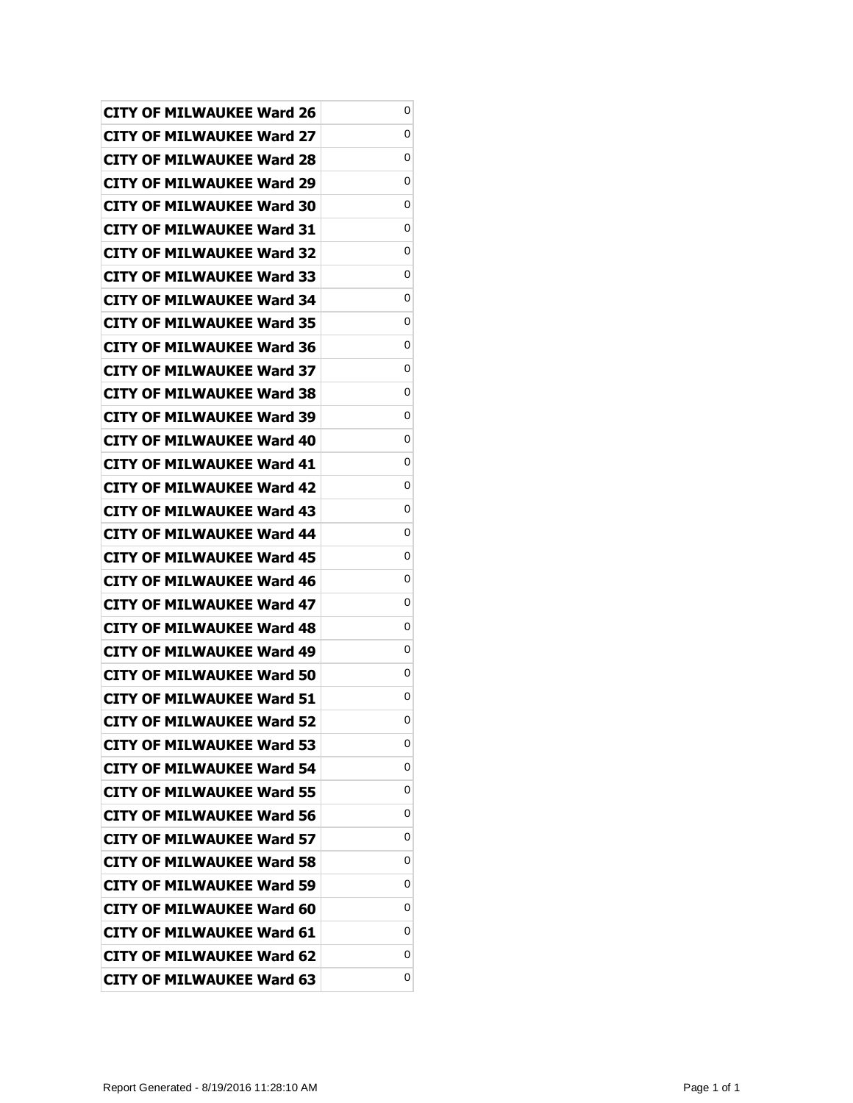| <b>CITY OF MILWAUKEE Ward 26</b> | 0 |
|----------------------------------|---|
| CITY OF MILWAUKEE Ward 27        | 0 |
| <b>CITY OF MILWAUKEE Ward 28</b> | 0 |
| CITY OF MILWAUKEE Ward 29        | 0 |
| <b>CITY OF MILWAUKEE Ward 30</b> | 0 |
| <b>CITY OF MILWAUKEE Ward 31</b> | 0 |
| <b>CITY OF MILWAUKEE Ward 32</b> | 0 |
| <b>CITY OF MILWAUKEE Ward 33</b> | 0 |
| <b>CITY OF MILWAUKEE Ward 34</b> | 0 |
| <b>CITY OF MILWAUKEE Ward 35</b> | 0 |
| <b>CITY OF MILWAUKEE Ward 36</b> | 0 |
| <b>CITY OF MILWAUKEE Ward 37</b> | 0 |
| <b>CITY OF MILWAUKEE Ward 38</b> | 0 |
| <b>CITY OF MILWAUKEE Ward 39</b> | 0 |
| <b>CITY OF MILWAUKEE Ward 40</b> | 0 |
| <b>CITY OF MILWAUKEE Ward 41</b> | 0 |
| CITY OF MILWAUKEE Ward 42        | 0 |
| <b>CITY OF MILWAUKEE Ward 43</b> | 0 |
| <b>CITY OF MILWAUKEE Ward 44</b> | 0 |
| <b>CITY OF MILWAUKEE Ward 45</b> | 0 |
| <b>CITY OF MILWAUKEE Ward 46</b> | 0 |
| <b>CITY OF MILWAUKEE Ward 47</b> | 0 |
| CITY OF MILWAUKEE Ward 48        | 0 |
| <b>CITY OF MILWAUKEE Ward 49</b> | 0 |
| <b>CITY OF MILWAUKEE Ward 50</b> | 0 |
| <b>CITY OF MILWAUKEE Ward 51</b> | 0 |
| <b>CITY OF MILWAUKEE Ward 52</b> | 0 |
| <b>CITY OF MILWAUKEE Ward 53</b> | 0 |
| <b>CITY OF MILWAUKEE Ward 54</b> | 0 |
| <b>CITY OF MILWAUKEE Ward 55</b> | 0 |
| <b>CITY OF MILWAUKEE Ward 56</b> | 0 |
| <b>CITY OF MILWAUKEE Ward 57</b> | 0 |
| <b>CITY OF MILWAUKEE Ward 58</b> | 0 |
| <b>CITY OF MILWAUKEE Ward 59</b> | 0 |
| <b>CITY OF MILWAUKEE Ward 60</b> | 0 |
| <b>CITY OF MILWAUKEE Ward 61</b> | 0 |
| <b>CITY OF MILWAUKEE Ward 62</b> | 0 |
| <b>CITY OF MILWAUKEE Ward 63</b> | 0 |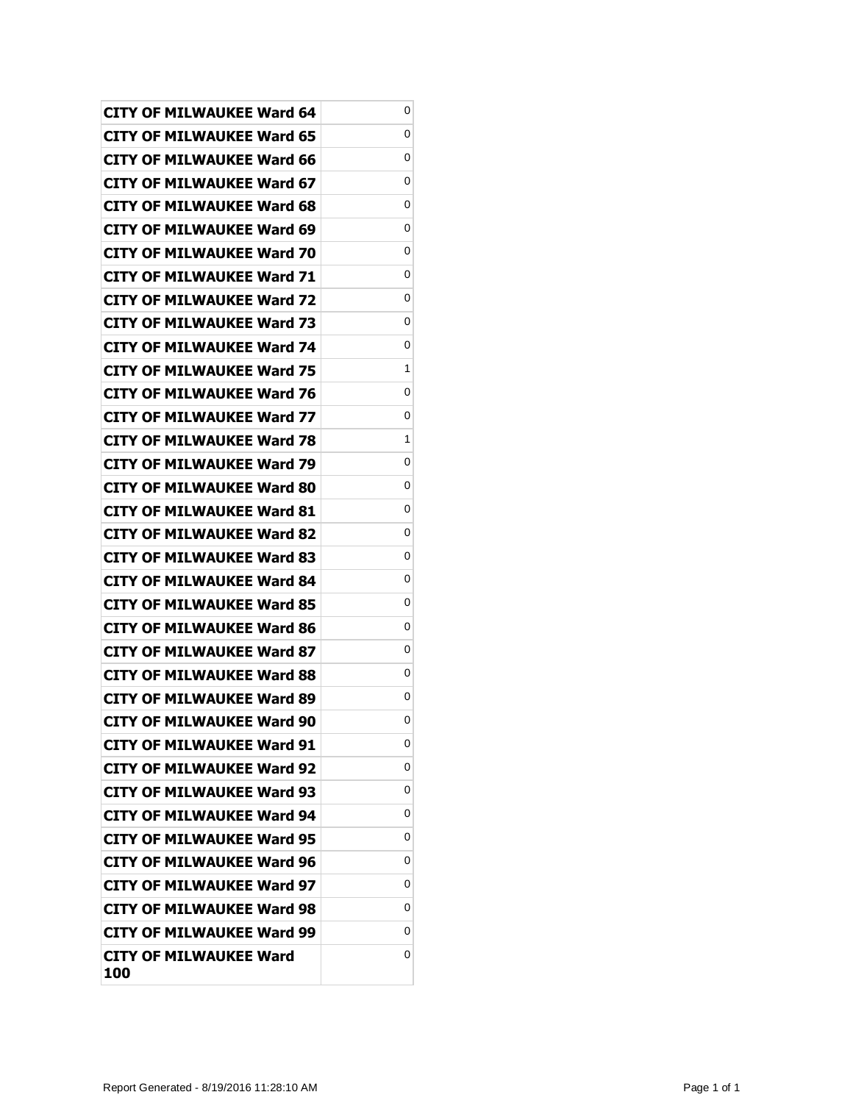| <b>CITY OF MILWAUKEE Ward 64</b> | 0 |
|----------------------------------|---|
| CITY OF MILWAUKEE Ward 65        | 0 |
| CITY OF MILWAUKEE Ward 66        | 0 |
| <b>CITY OF MILWAUKEE Ward 67</b> | 0 |
| <b>CITY OF MILWAUKEE Ward 68</b> | 0 |
| CITY OF MILWAUKEE Ward 69        | 0 |
| CITY OF MILWAUKEE Ward 70        | 0 |
| CITY OF MILWAUKEE Ward 71        | 0 |
| <b>CITY OF MILWAUKEE Ward 72</b> | 0 |
| CITY OF MILWAUKEE Ward 73        | 0 |
| CITY OF MILWAUKEE Ward 74        | 0 |
| CITY OF MILWAUKEE Ward 75        | 1 |
| CITY OF MILWAUKEE Ward 76        | 0 |
| <b>CITY OF MILWAUKEE Ward 77</b> | 0 |
| <b>CITY OF MILWAUKEE Ward 78</b> | 1 |
| CITY OF MILWAUKEE Ward 79        | 0 |
| CITY OF MILWAUKEE Ward 80        | 0 |
| CITY OF MILWAUKEE Ward 81        | 0 |
| <b>CITY OF MILWAUKEE Ward 82</b> | 0 |
| CITY OF MILWAUKEE Ward 83        | 0 |
| <b>CITY OF MILWAUKEE Ward 84</b> | 0 |
| CITY OF MILWAUKEE Ward 85        | 0 |
| CITY OF MILWAUKEE Ward 86        | 0 |
| CITY OF MILWAUKEE Ward 87        | 0 |
| CITY OF MILWAUKEE Ward 88        | 0 |
| <b>CITY OF MILWAUKEE Ward 89</b> | 0 |
| <b>CITY OF MILWAUKEE Ward 90</b> | 0 |
| <b>CITY OF MILWAUKEE Ward 91</b> | 0 |
| <b>CITY OF MILWAUKEE Ward 92</b> | 0 |
| <b>CITY OF MILWAUKEE Ward 93</b> | 0 |
| <b>CITY OF MILWAUKEE Ward 94</b> | 0 |
| <b>CITY OF MILWAUKEE Ward 95</b> | 0 |
| <b>CITY OF MILWAUKEE Ward 96</b> | 0 |
| <b>CITY OF MILWAUKEE Ward 97</b> | 0 |
| <b>CITY OF MILWAUKEE Ward 98</b> | 0 |
| CITY OF MILWAUKEE Ward 99        | 0 |
| CITY OF MILWAUKEE Ward<br>100    | 0 |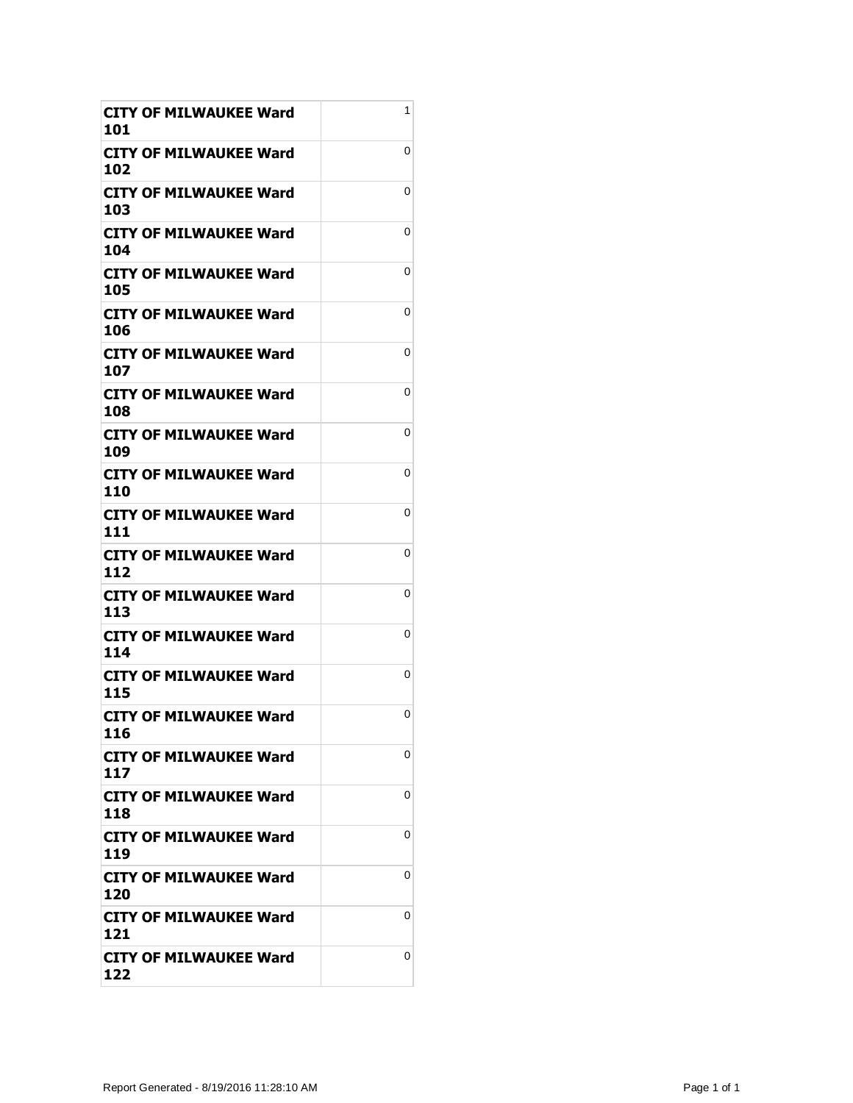| CITY OF MILWAUKEE Ward<br>101        | 1 |
|--------------------------------------|---|
| CITY OF MILWAUKEE Ward<br>102        | 0 |
| CITY OF MILWAUKEE Ward<br>103        | 0 |
| <b>CITY OF MILWAUKEE Ward</b><br>104 | 0 |
| CITY OF MILWAUKEE Ward<br>105        | 0 |
| <b>CITY OF MILWAUKEE Ward</b><br>106 | 0 |
| <b>CITY OF MILWAUKEE Ward</b><br>107 | 0 |
| <b>CITY OF MILWAUKEE Ward</b><br>108 | 0 |
| CITY OF MILWAUKEE Ward<br>109        | 0 |
| CITY OF MILWAUKEE Ward<br>110        | 0 |
| <b>CITY OF MILWAUKEE Ward</b><br>111 | 0 |
| CITY OF MILWAUKEE Ward<br>112        | 0 |
| CITY OF MILWAUKEE Ward<br>113        | 0 |
| CITY OF MILWAUKEE Ward<br>114        | 0 |
| <b>CITY OF MILWAUKEE Ward</b><br>115 | 0 |
| <b>CITY OF MILWAUKEE Ward</b><br>116 | 0 |
| CITY OF MILWAUKEE Ward<br>117        | 0 |
| CITY OF MILWAUKEE Ward<br>118        | 0 |
| <b>CITY OF MILWAUKEE Ward</b><br>119 | 0 |
| CITY OF MILWAUKEE Ward<br>120        | 0 |
| <b>CITY OF MILWAUKEE Ward</b><br>121 | 0 |
| <b>CITY OF MILWAUKEE Ward</b><br>122 | 0 |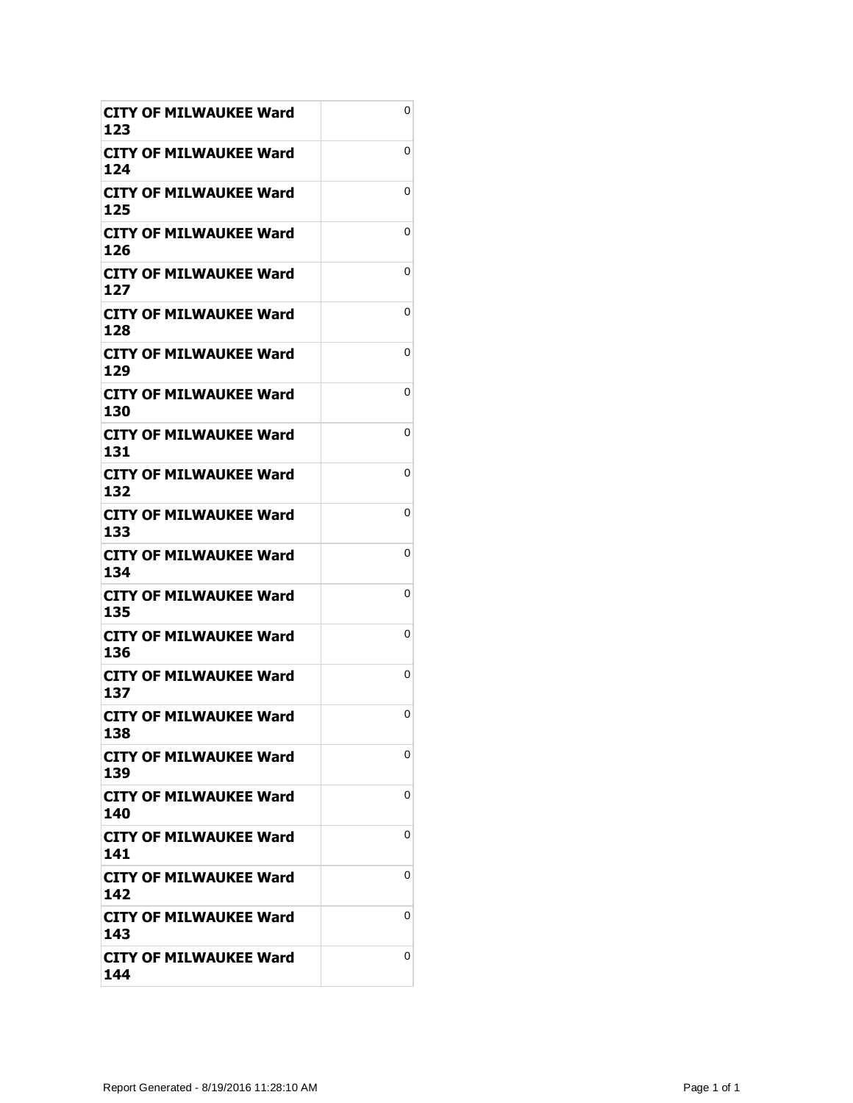| <b>CITY OF MILWAUKEE Ward</b><br>123 | 0 |
|--------------------------------------|---|
| CITY OF MILWAUKEE Ward<br>124        | 0 |
| CITY OF MILWAUKEE Ward<br>125        | 0 |
| <b>CITY OF MILWAUKEE Ward</b><br>126 | 0 |
| <b>CITY OF MILWAUKEE Ward</b><br>127 | 0 |
| <b>CITY OF MILWAUKEE Ward</b><br>128 | 0 |
| CITY OF MILWAUKEE Ward<br>129        | 0 |
| CITY OF MILWAUKEE Ward<br>130        | 0 |
| CITY OF MILWAUKEE Ward<br>131        | 0 |
| <b>CITY OF MILWAUKEE Ward</b><br>132 | 0 |
| <b>CITY OF MILWAUKEE Ward</b><br>133 | 0 |
| CITY OF MILWAUKEE Ward<br>134        | 0 |
| <b>CITY OF MILWAUKEE Ward</b><br>135 | 0 |
| CITY OF MILWAUKEE Ward<br>136        | 0 |
| <b>CITY OF MILWAUKEE Ward</b><br>137 | 0 |
| <b>CITY OF MILWAUKEE Ward</b><br>138 | 0 |
| <b>CITY OF MILWAUKEE Ward</b><br>139 | 0 |
| <b>CITY OF MILWAUKEE Ward</b><br>140 | 0 |
| CITY OF MILWAUKEE Ward<br>141        | 0 |
| <b>CITY OF MILWAUKEE Ward</b><br>142 | 0 |
| <b>CITY OF MILWAUKEE Ward</b><br>143 | 0 |
| CITY OF MILWAUKEE Ward<br>144        | 0 |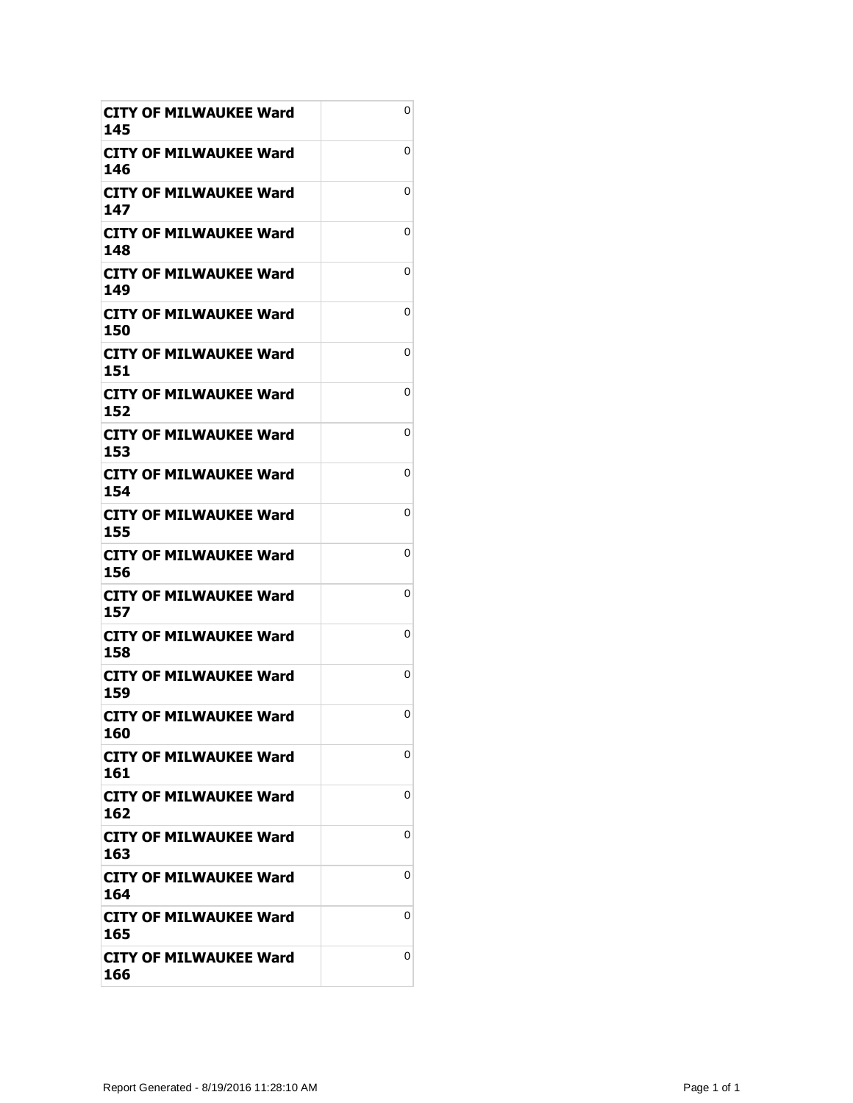| CITY OF MILWAUKEE Ward<br>145        | 0 |
|--------------------------------------|---|
| CITY OF MILWAUKEE Ward<br>146        | 0 |
| CITY OF MILWAUKEE Ward<br>147        | 0 |
| <b>CITY OF MILWAUKEE Ward</b><br>148 | 0 |
| <b>CITY OF MILWAUKEE Ward</b><br>149 | 0 |
| CITY OF MILWAUKEE Ward<br>150        | 0 |
| CITY OF MILWAUKEE Ward<br>151        | 0 |
| <b>CITY OF MILWAUKEE Ward</b><br>152 | 0 |
| CITY OF MILWAUKEE Ward<br>153        | 0 |
| <b>CITY OF MILWAUKEE Ward</b><br>154 | 0 |
| <b>CITY OF MILWAUKEE Ward</b><br>155 | 0 |
| <b>CITY OF MILWAUKEE Ward</b><br>156 | 0 |
| <b>CITY OF MILWAUKEE Ward</b><br>157 | 0 |
| CITY OF MILWAUKEE Ward<br>158        | 0 |
| <b>CITY OF MILWAUKEE Ward</b><br>159 | 0 |
| <b>CITY OF MILWAUKEE Ward</b><br>160 | 0 |
| CITY OF MILWAUKEE Ward<br>161        | 0 |
| <b>CITY OF MILWAUKEE Ward</b><br>162 | 0 |
| <b>CITY OF MILWAUKEE Ward</b><br>163 | 0 |
| CITY OF MILWAUKEE Ward<br>164        | 0 |
| <b>CITY OF MILWAUKEE Ward</b><br>165 | 0 |
| <b>CITY OF MILWAUKEE Ward</b><br>166 | 0 |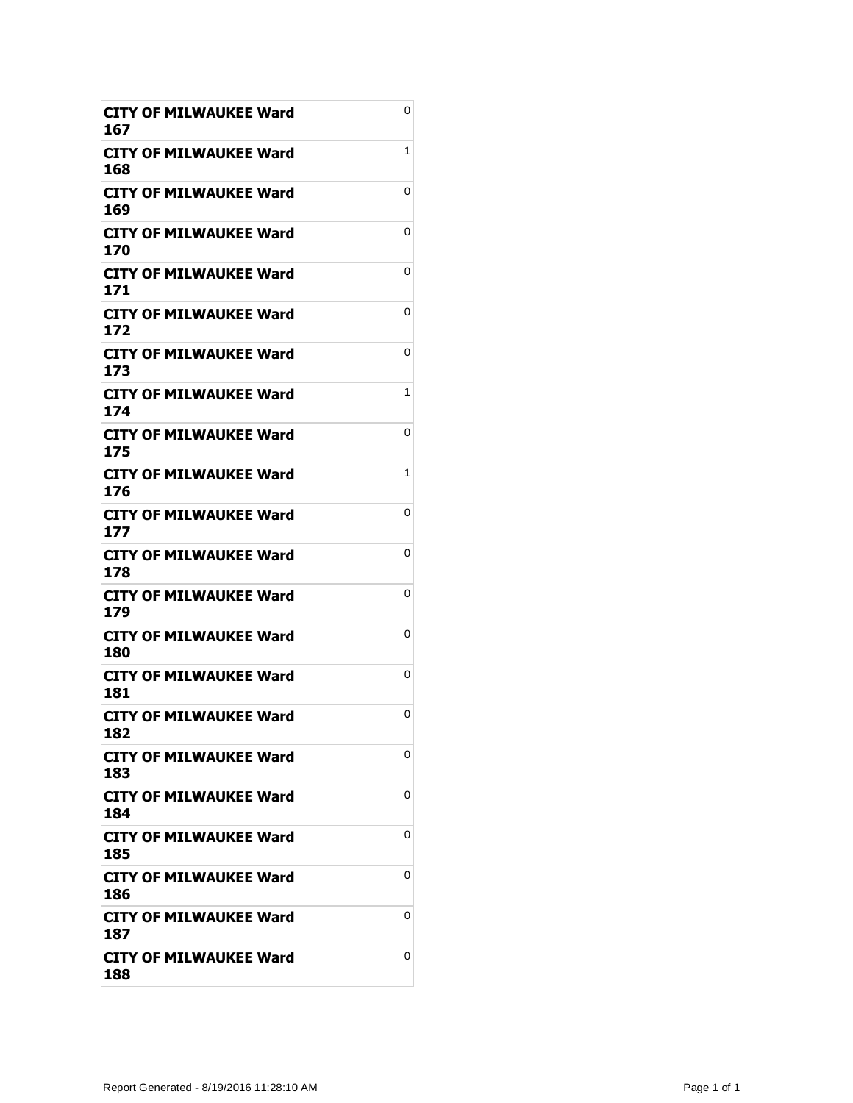| CITY OF MILWAUKEE Ward<br>167        | 0 |
|--------------------------------------|---|
| CITY OF MILWAUKEE Ward<br>168        | 1 |
| CITY OF MILWAUKEE Ward<br>169        | 0 |
| <b>CITY OF MILWAUKEE Ward</b><br>170 | 0 |
| CITY OF MILWAUKEE Ward<br>171        | 0 |
| <b>CITY OF MILWAUKEE Ward</b><br>172 | 0 |
| <b>CITY OF MILWAUKEE Ward</b><br>173 | 0 |
| <b>CITY OF MILWAUKEE Ward</b><br>174 | 1 |
| CITY OF MILWAUKEE Ward<br>175        | 0 |
| CITY OF MILWAUKEE Ward<br>176        | 1 |
| <b>CITY OF MILWAUKEE Ward</b><br>177 | 0 |
| CITY OF MILWAUKEE Ward<br>178        | 0 |
| CITY OF MILWAUKEE Ward<br>179        | 0 |
| CITY OF MILWAUKEE Ward<br>180        | 0 |
| <b>CITY OF MILWAUKEE Ward</b><br>181 | 0 |
| <b>CITY OF MILWAUKEE Ward</b><br>182 | 0 |
| CITY OF MILWAUKEE Ward<br>183        | 0 |
| <b>CITY OF MILWAUKEE Ward</b><br>184 | 0 |
| <b>CITY OF MILWAUKEE Ward</b><br>185 | 0 |
| CITY OF MILWAUKEE Ward<br>186        | 0 |
| <b>CITY OF MILWAUKEE Ward</b><br>187 | 0 |
| <b>CITY OF MILWAUKEE Ward</b><br>188 | 0 |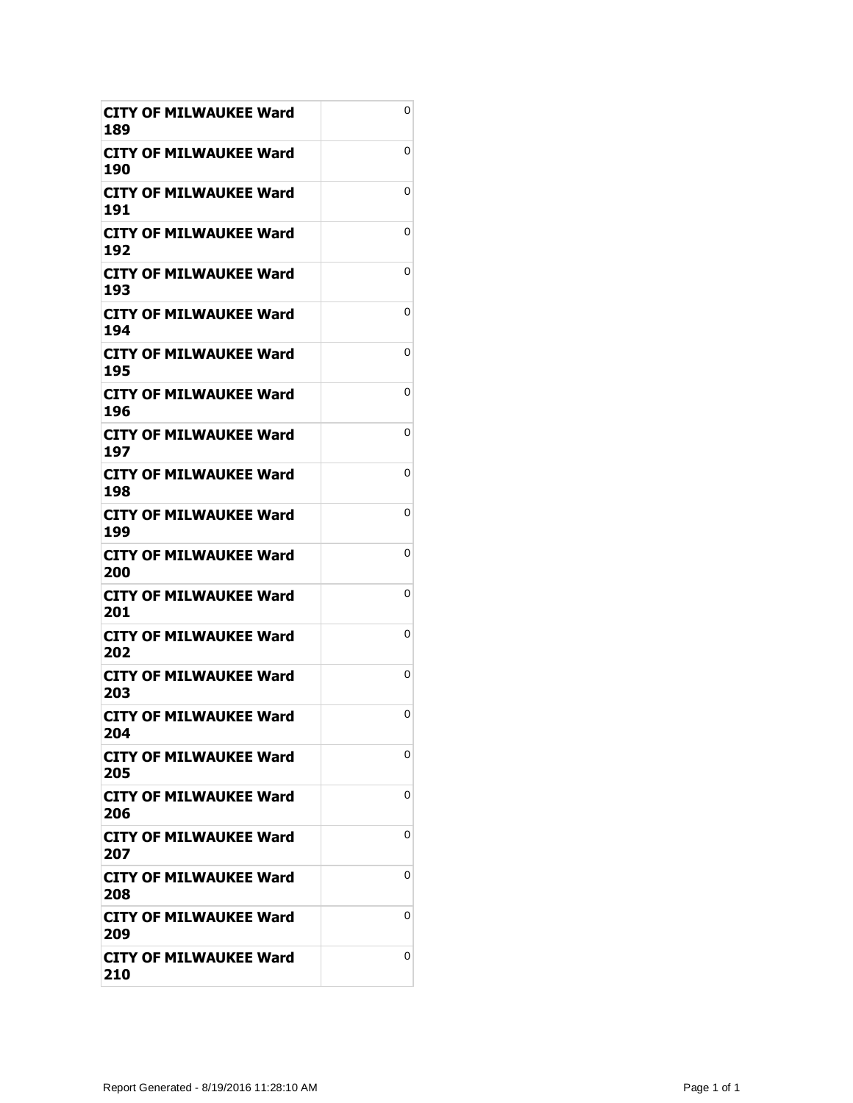| <b>CITY OF MILWAUKEE Ward</b><br>189 | 0 |
|--------------------------------------|---|
| <b>CITY OF MILWAUKEE Ward</b><br>190 | 0 |
| CITY OF MILWAUKEE Ward<br>191        | 0 |
| <b>CITY OF MILWAUKEE Ward</b><br>192 | 0 |
| <b>CITY OF MILWAUKEE Ward</b><br>193 | 0 |
| <b>CITY OF MILWAUKEE Ward</b><br>194 | 0 |
| CITY OF MILWAUKEE Ward<br>195        | 0 |
| CITY OF MILWAUKEE Ward<br>196        | 0 |
| CITY OF MILWAUKEE Ward<br>197        | 0 |
| CITY OF MILWAUKEE Ward<br>198        | 0 |
| <b>CITY OF MILWAUKEE Ward</b><br>199 | 0 |
| CITY OF MILWAUKEE Ward<br>200        | 0 |
| <b>CITY OF MILWAUKEE Ward</b><br>201 | 0 |
| CITY OF MILWAUKEE Ward<br>202        | 0 |
| <b>CITY OF MILWAUKEE Ward</b><br>203 | 0 |
| <b>CITY OF MILWAUKEE Ward</b><br>204 | 0 |
| <b>CITY OF MILWAUKEE Ward</b><br>205 | 0 |
| CITY OF MILWAUKEE Ward<br>206        | 0 |
| <b>CITY OF MILWAUKEE Ward</b><br>207 | 0 |
| <b>CITY OF MILWAUKEE Ward</b><br>208 | 0 |
| CITY OF MILWAUKEE Ward<br>209        | 0 |
| CITY OF MILWAUKEE Ward<br>210        | 0 |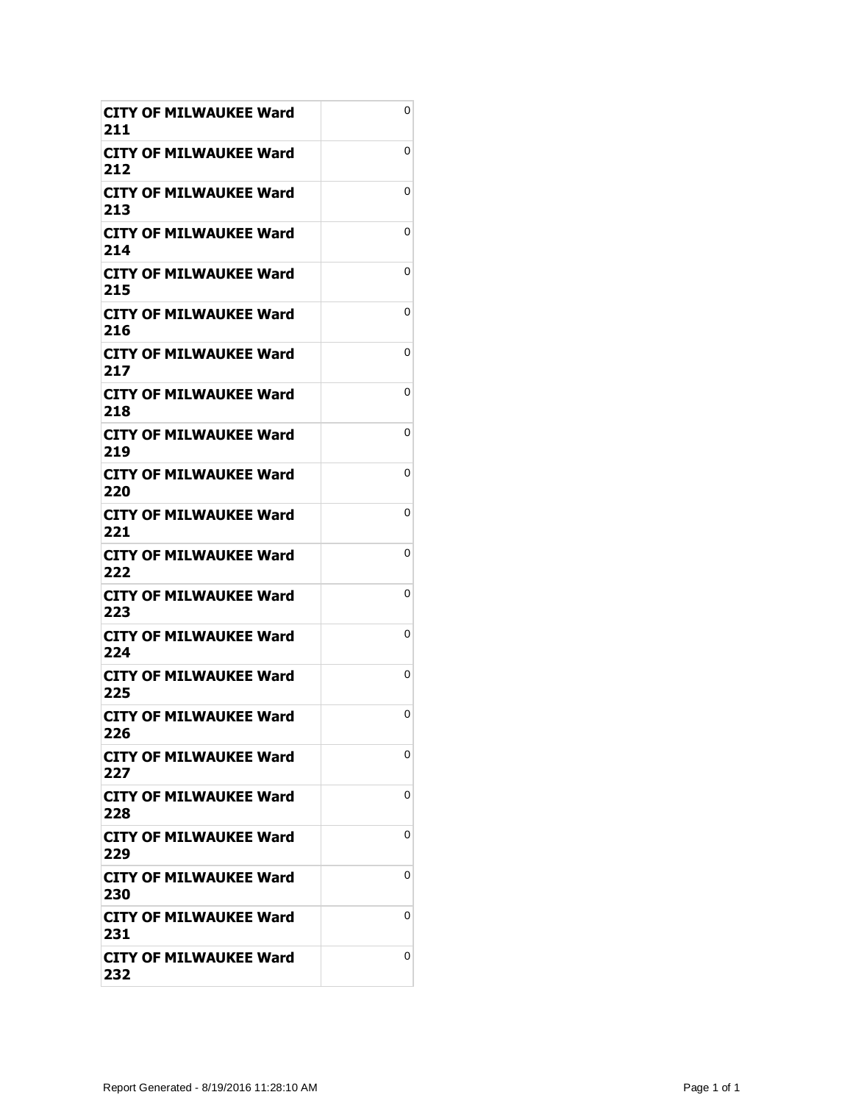| CITY OF MILWAUKEE Ward<br>211        | 0 |
|--------------------------------------|---|
| CITY OF MILWAUKEE Ward<br>212        | 0 |
| CITY OF MILWAUKEE Ward<br>213        | 0 |
| <b>CITY OF MILWAUKEE Ward</b><br>214 | 0 |
| CITY OF MILWAUKEE Ward<br>215        | 0 |
| <b>CITY OF MILWAUKEE Ward</b><br>216 | 0 |
| CITY OF MILWAUKEE Ward<br>217        | 0 |
| <b>CITY OF MILWAUKEE Ward</b><br>218 | 0 |
| CITY OF MILWAUKEE Ward<br>219        | 0 |
| CITY OF MILWAUKEE Ward<br>220        | 0 |
| <b>CITY OF MILWAUKEE Ward</b><br>221 | 0 |
| CITY OF MILWAUKEE Ward<br>222        | 0 |
| CITY OF MILWAUKEE Ward<br>223        | 0 |
| CITY OF MILWAUKEE Ward<br>224        | 0 |
| <b>CITY OF MILWAUKEE Ward</b><br>225 | 0 |
| <b>CITY OF MILWAUKEE Ward</b><br>226 | 0 |
| <b>CITY OF MILWAUKEE Ward</b><br>227 | 0 |
| CITY OF MILWAUKEE Ward<br>228        | 0 |
| <b>CITY OF MILWAUKEE Ward</b><br>229 | 0 |
| CITY OF MILWAUKEE Ward<br>230        | 0 |
| <b>CITY OF MILWAUKEE Ward</b><br>231 | 0 |
| <b>CITY OF MILWAUKEE Ward</b><br>232 | 0 |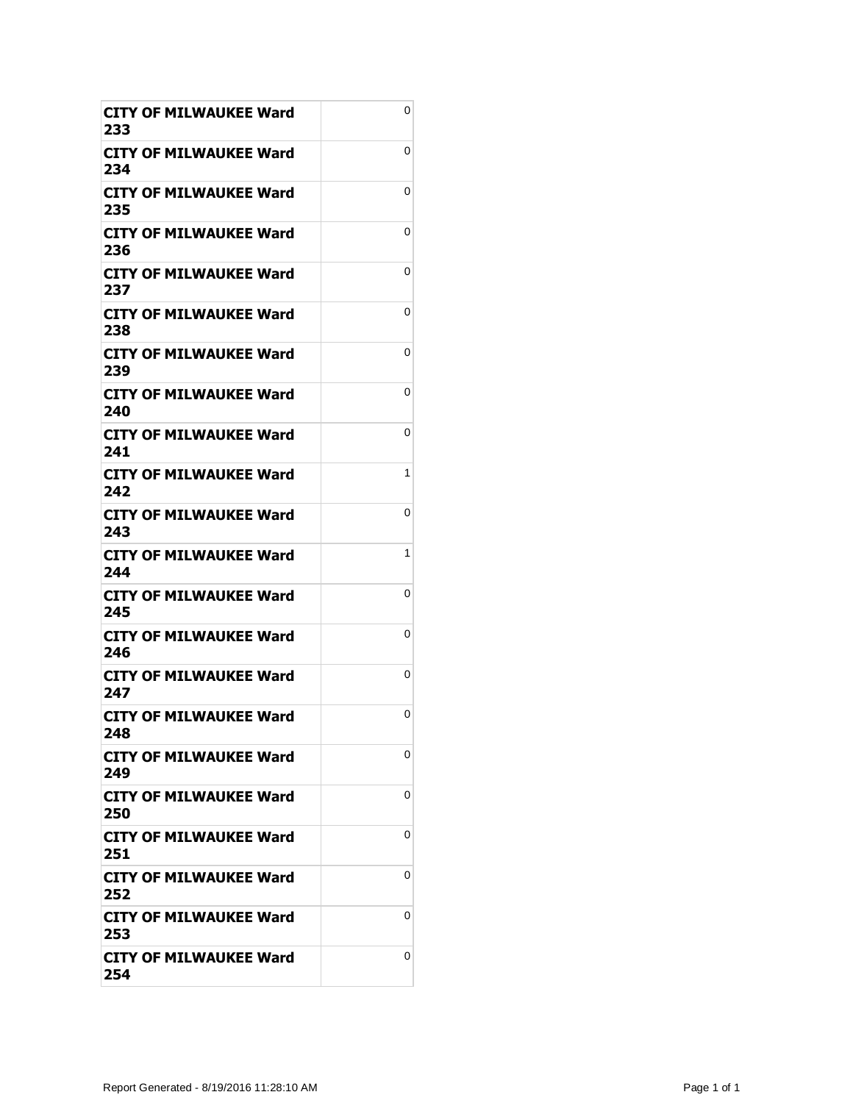| CITY OF MILWAUKEE Ward<br>233        | 0 |
|--------------------------------------|---|
| CITY OF MILWAUKEE Ward<br>234        | 0 |
| CITY OF MILWAUKEE Ward<br>235        | 0 |
| <b>CITY OF MILWAUKEE Ward</b><br>236 | 0 |
| CITY OF MILWAUKEE Ward<br>237        | 0 |
| CITY OF MILWAUKEE Ward<br>238        | 0 |
| <b>CITY OF MILWAUKEE Ward</b><br>239 | 0 |
| <b>CITY OF MILWAUKEE Ward</b><br>240 | 0 |
| CITY OF MILWAUKEE Ward<br>241        | 0 |
| CITY OF MILWAUKEE Ward<br>242        | 1 |
| <b>CITY OF MILWAUKEE Ward</b><br>243 | 0 |
| CITY OF MILWAUKEE Ward<br>244        | 1 |
| CITY OF MILWAUKEE Ward<br>245        | 0 |
| CITY OF MILWAUKEE Ward<br>246        | 0 |
| <b>CITY OF MILWAUKEE Ward</b><br>247 | 0 |
| <b>CITY OF MILWAUKEE Ward</b><br>248 | 0 |
| CITY OF MILWAUKEE Ward<br>249        | 0 |
| CITY OF MILWAUKEE Ward<br>250        | 0 |
| <b>CITY OF MILWAUKEE Ward</b><br>251 | 0 |
| CITY OF MILWAUKEE Ward<br>252        | 0 |
| <b>CITY OF MILWAUKEE Ward</b><br>253 | 0 |
| <b>CITY OF MILWAUKEE Ward</b><br>254 | 0 |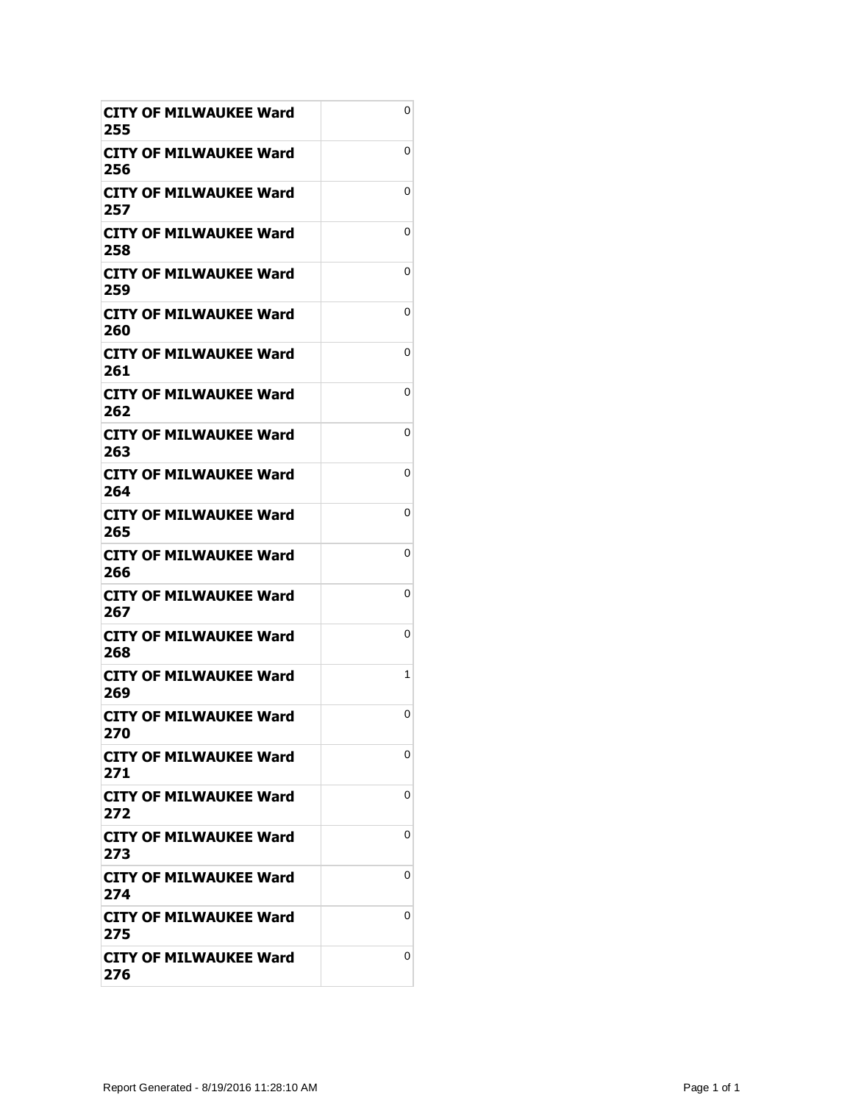| CITY OF MILWAUKEE Ward<br>255        | 0 |
|--------------------------------------|---|
| CITY OF MILWAUKEE Ward<br>256        | 0 |
| CITY OF MILWAUKEE Ward<br>257        | 0 |
| <b>CITY OF MILWAUKEE Ward</b><br>258 | 0 |
| CITY OF MILWAUKEE Ward<br>259        | 0 |
| <b>CITY OF MILWAUKEE Ward</b><br>260 | 0 |
| <b>CITY OF MILWAUKEE Ward</b><br>261 | 0 |
| <b>CITY OF MILWAUKEE Ward</b><br>262 | 0 |
| CITY OF MILWAUKEE Ward<br>263        | 0 |
| CITY OF MILWAUKEE Ward<br>264        | 0 |
| <b>CITY OF MILWAUKEE Ward</b><br>265 | 0 |
| CITY OF MILWAUKEE Ward<br>266        | 0 |
| <b>CITY OF MILWAUKEE Ward</b><br>267 | 0 |
| CITY OF MILWAUKEE Ward<br>268        | 0 |
| <b>CITY OF MILWAUKEE Ward</b><br>269 | 1 |
| <b>CITY OF MILWAUKEE Ward</b><br>270 | 0 |
| CITY OF MILWAUKEE Ward<br>271        | 0 |
| CITY OF MILWAUKEE Ward<br>272        | 0 |
| <b>CITY OF MILWAUKEE Ward</b><br>273 | 0 |
| CITY OF MILWAUKEE Ward<br>274        | 0 |
| <b>CITY OF MILWAUKEE Ward</b><br>275 | 0 |
| <b>CITY OF MILWAUKEE Ward</b><br>276 | 0 |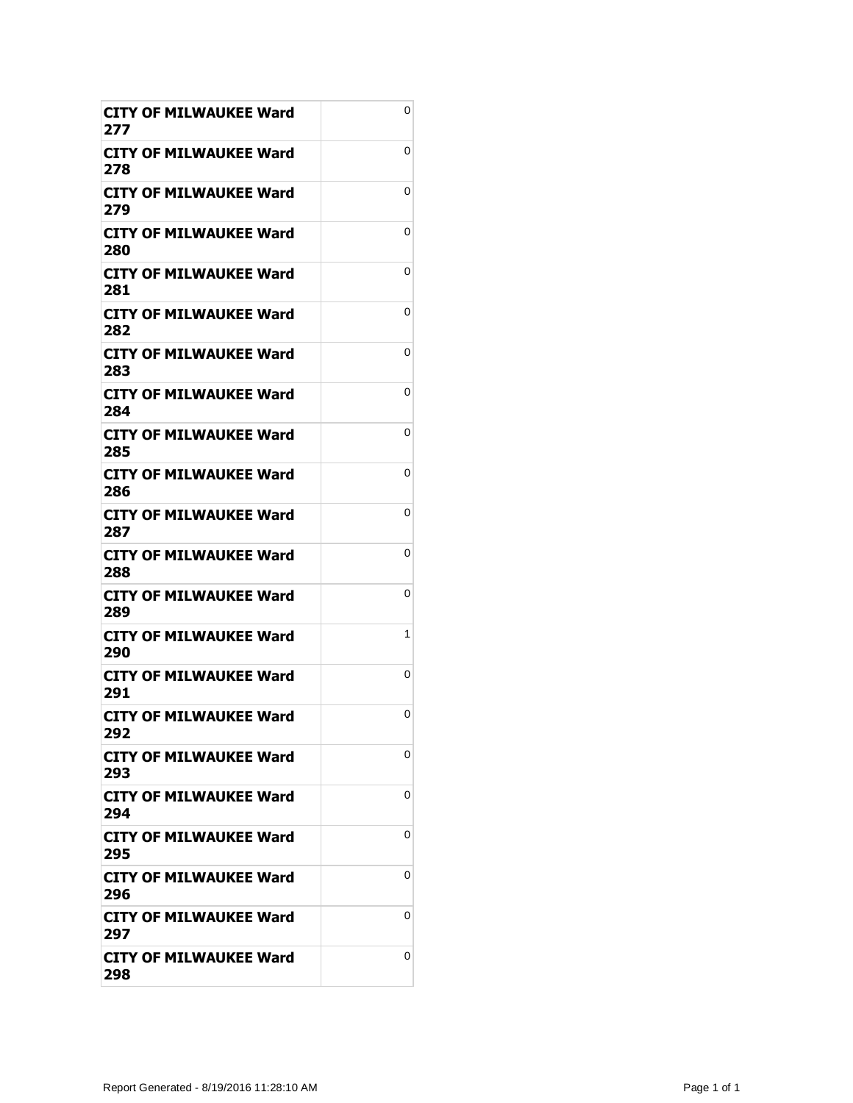| CITY OF MILWAUKEE Ward<br>277        | 0 |
|--------------------------------------|---|
| CITY OF MILWAUKEE Ward<br>278        | 0 |
| CITY OF MILWAUKEE Ward<br>279        | 0 |
| <b>CITY OF MILWAUKEE Ward</b><br>280 | 0 |
| CITY OF MILWAUKEE Ward<br>281        | 0 |
| CITY OF MILWAUKEE Ward<br>282        | 0 |
| CITY OF MILWAUKEE Ward<br>283        | 0 |
| <b>CITY OF MILWAUKEE Ward</b><br>284 | 0 |
| CITY OF MILWAUKEE Ward<br>285        | 0 |
| CITY OF MILWAUKEE Ward<br>286        | 0 |
| <b>CITY OF MILWAUKEE Ward</b><br>287 | 0 |
| CITY OF MILWAUKEE Ward<br>288        | 0 |
| <b>CITY OF MILWAUKEE Ward</b><br>289 | 0 |
| CITY OF MILWAUKEE Ward<br>290        | 1 |
| <b>CITY OF MILWAUKEE Ward</b><br>291 | 0 |
| <b>CITY OF MILWAUKEE Ward</b><br>292 | 0 |
| CITY OF MILWAUKEE Ward<br>293        | 0 |
| CITY OF MILWAUKEE Ward<br>294        | 0 |
| <b>CITY OF MILWAUKEE Ward</b><br>295 | 0 |
| CITY OF MILWAUKEE Ward<br>296        | 0 |
| <b>CITY OF MILWAUKEE Ward</b><br>297 | 0 |
| <b>CITY OF MILWAUKEE Ward</b><br>298 | 0 |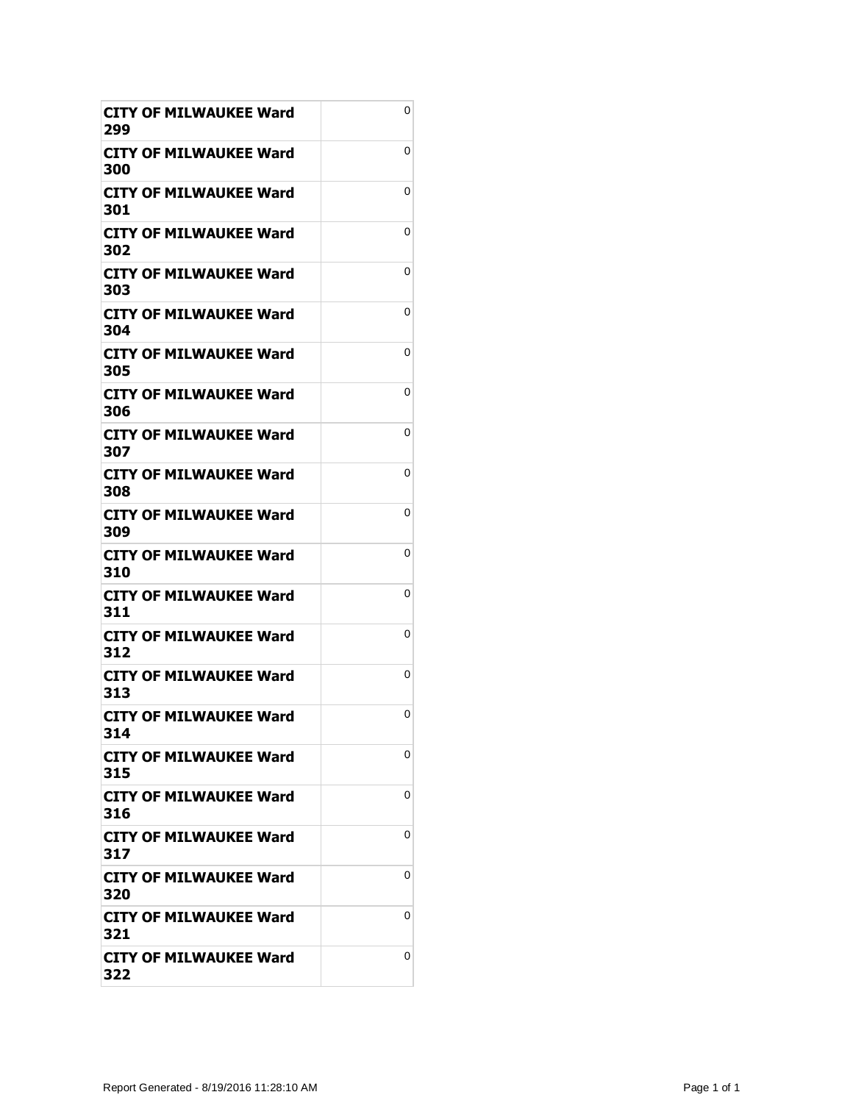| CITY OF MILWAUKEE Ward<br>299        | 0 |
|--------------------------------------|---|
| CITY OF MILWAUKEE Ward<br>300        | 0 |
| CITY OF MILWAUKEE Ward<br>301        | 0 |
| <b>CITY OF MILWAUKEE Ward</b><br>302 | 0 |
| CITY OF MILWAUKEE Ward<br>303        | 0 |
| <b>CITY OF MILWAUKEE Ward</b><br>304 | 0 |
| CITY OF MILWAUKEE Ward<br>305        | 0 |
| <b>CITY OF MILWAUKEE Ward</b><br>306 | 0 |
| CITY OF MILWAUKEE Ward<br>307        | 0 |
| CITY OF MILWAUKEE Ward<br>308        | 0 |
| <b>CITY OF MILWAUKEE Ward</b><br>309 | 0 |
| CITY OF MILWAUKEE Ward<br>310        | 0 |
| <b>CITY OF MILWAUKEE Ward</b><br>311 | 0 |
| CITY OF MILWAUKEE Ward<br>312        | 0 |
| <b>CITY OF MILWAUKEE Ward</b><br>313 | 0 |
| <b>CITY OF MILWAUKEE Ward</b><br>314 | 0 |
| CITY OF MILWAUKEE Ward<br>315        | 0 |
| CITY OF MILWAUKEE Ward<br>316        | 0 |
| <b>CITY OF MILWAUKEE Ward</b><br>317 | 0 |
| CITY OF MILWAUKEE Ward<br>320        | 0 |
| <b>CITY OF MILWAUKEE Ward</b><br>321 | 0 |
| <b>CITY OF MILWAUKEE Ward</b><br>322 | 0 |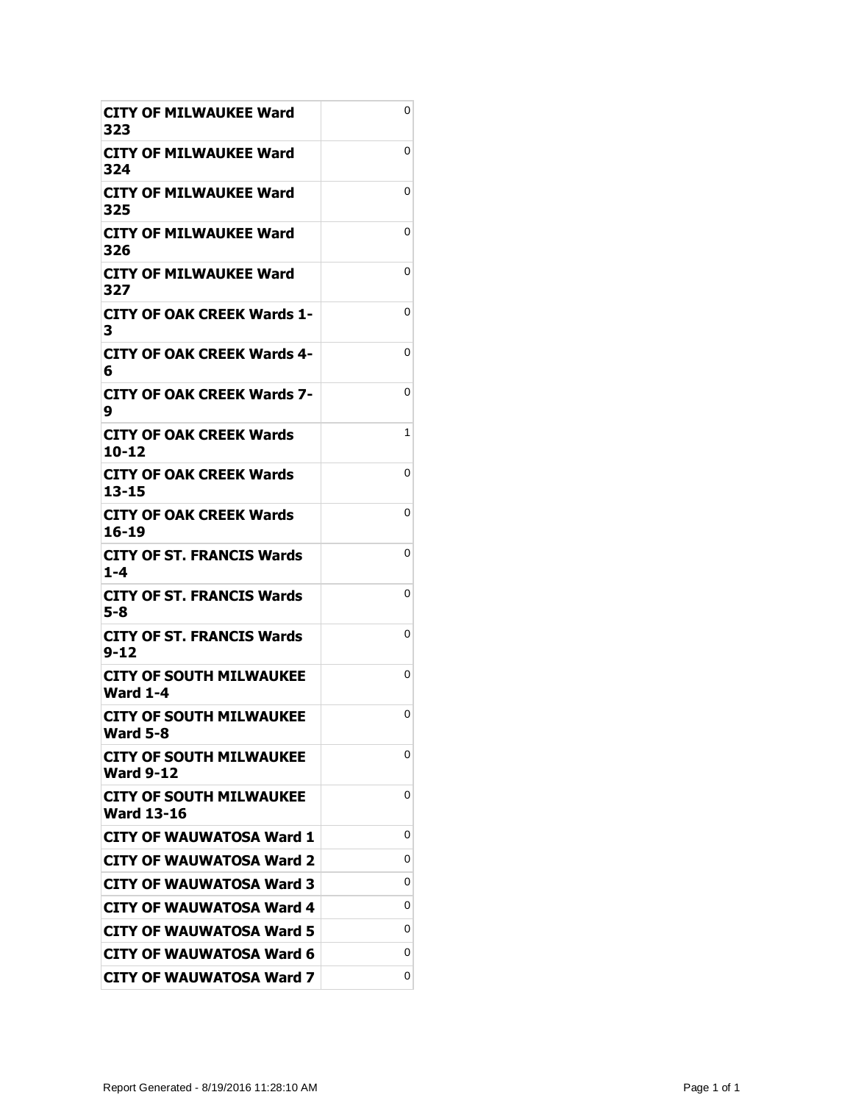| CITY OF MILWAUKEE Ward<br>323                       | 0 |
|-----------------------------------------------------|---|
| <b>CITY OF MILWAUKEE Ward</b><br>324                | 0 |
| CITY OF MILWAUKEE Ward<br>325                       | 0 |
| <b>CITY OF MILWAUKEE Ward</b><br>326                | 0 |
| <b>CITY OF MILWAUKEE Ward</b><br>327                | 0 |
| <b>CITY OF OAK CREEK Wards 1-</b><br>з              | 0 |
| CITY OF OAK CREEK Wards 4-<br>6                     | 0 |
| <b>CITY OF OAK CREEK Wards 7-</b><br>9              | 0 |
| CITY OF OAK CREEK Wards<br>10-12                    | 1 |
| CITY OF OAK CREEK Wards<br>$13 - 15$                | 0 |
| <b>CITY OF OAK CREEK Wards</b><br>16-19             | 0 |
| <b>CITY OF ST. FRANCIS Wards</b><br>$1 - 4$         | 0 |
| <b>CITY OF ST. FRANCIS Wards</b><br>5-8             | 0 |
| CITY OF ST. FRANCIS Wards<br>$9 - 12$               | 0 |
| <b>CITY OF SOUTH MILWAUKEE</b><br><b>Ward 1-4</b>   | 0 |
| <b>CITY OF SOUTH MILWAUKEE</b><br><b>Ward 5-8</b>   | 0 |
| <b>CITY OF SOUTH MILWAUKEE</b><br><b>Ward 9-12</b>  | 0 |
|                                                     |   |
| <b>CITY OF SOUTH MILWAUKEE</b><br><b>Ward 13-16</b> | 0 |
| <b>CITY OF WAUWATOSA Ward 1</b>                     | 0 |
| <b>CITY OF WAUWATOSA Ward 2</b>                     | 0 |
| CITY OF WAUWATOSA Ward 3                            | 0 |
| <b>CITY OF WAUWATOSA Ward 4</b>                     | 0 |
| <b>CITY OF WAUWATOSA Ward 5</b>                     | 0 |
| <b>CITY OF WAUWATOSA Ward 6</b>                     | 0 |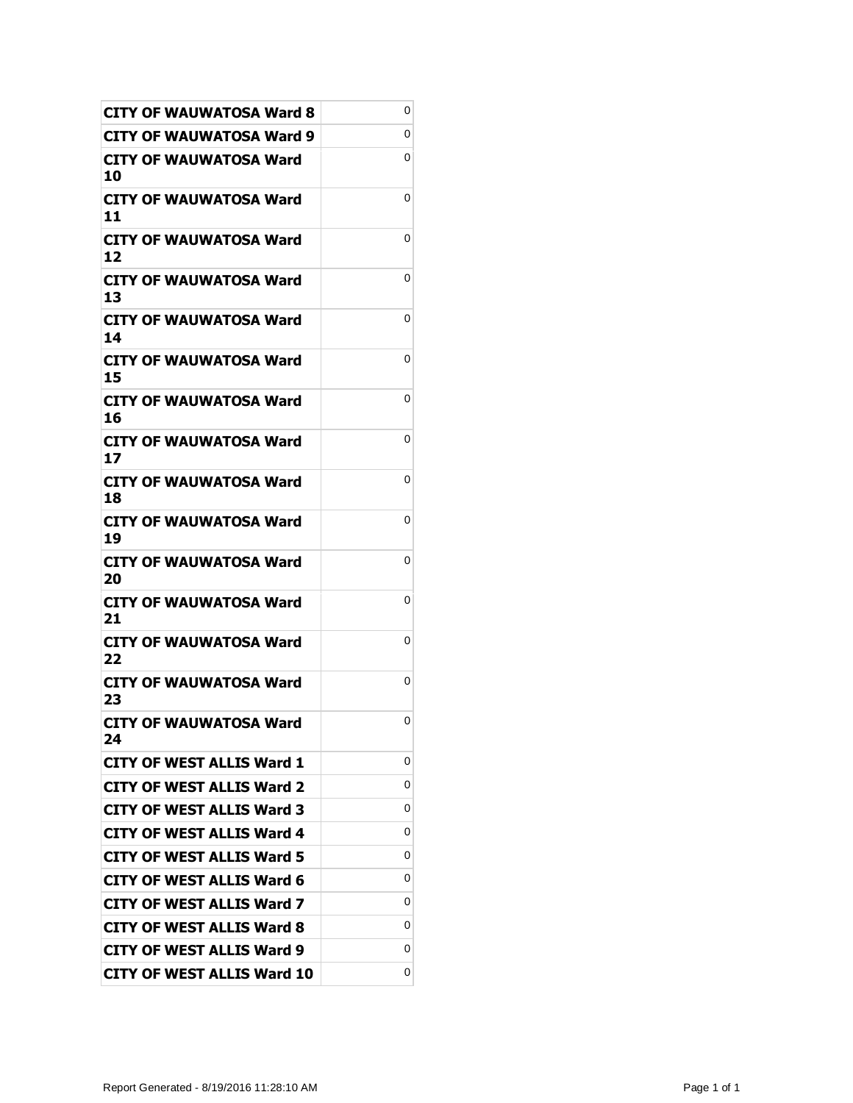| <b>CITY OF WAUWATOSA Ward 8</b>     | 0 |
|-------------------------------------|---|
| CITY OF WAUWATOSA Ward 9            | 0 |
| CITY OF WAUWATOSA Ward<br>10        | 0 |
| <b>CITY OF WAUWATOSA Ward</b><br>11 | 0 |
| <b>CITY OF WAUWATOSA Ward</b><br>12 | 0 |
| <b>CITY OF WAUWATOSA Ward</b><br>13 | 0 |
| CITY OF WAUWATOSA Ward<br>14        | 0 |
| CITY OF WAUWATOSA Ward<br>15        | 0 |
| CITY OF WAUWATOSA Ward<br>16        | 0 |
| CITY OF WAUWATOSA Ward<br>17        | 0 |
| <b>CITY OF WAUWATOSA Ward</b><br>18 | 0 |
| CITY OF WAUWATOSA Ward<br>19        | 0 |
| CITY OF WAUWATOSA Ward<br>20        | 0 |
| CITY OF WAUWATOSA Ward<br>21        | 0 |
| CITY OF WAUWATOSA Ward<br>22        | 0 |
| CITY OF WAUWATOSA Ward<br>23        | 0 |
| <b>CITY OF WAUWATOSA Ward</b><br>24 | 0 |
| <b>CITY OF WEST ALLIS Ward 1</b>    | 0 |
| <b>CITY OF WEST ALLIS Ward 2</b>    | 0 |
| <b>CITY OF WEST ALLIS Ward 3</b>    | 0 |
| <b>CITY OF WEST ALLIS Ward 4</b>    | 0 |
| <b>CITY OF WEST ALLIS Ward 5</b>    | 0 |
| <b>CITY OF WEST ALLIS Ward 6</b>    | 0 |
| <b>CITY OF WEST ALLIS Ward 7</b>    | 0 |
| <b>CITY OF WEST ALLIS Ward 8</b>    | 0 |
| <b>CITY OF WEST ALLIS Ward 9</b>    | 0 |
| <b>CITY OF WEST ALLIS Ward 10</b>   | 0 |